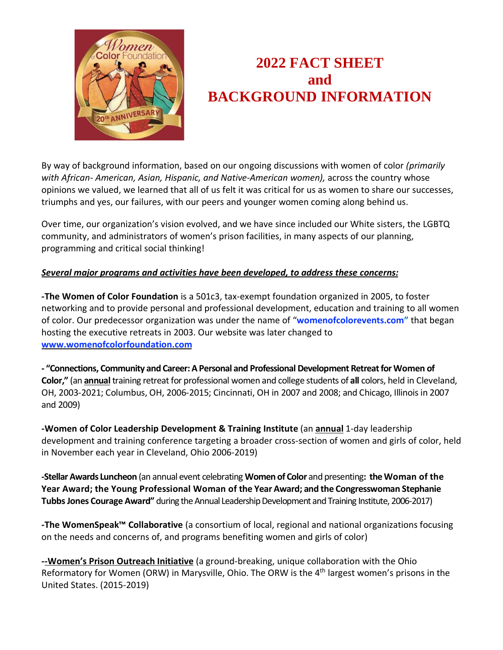

## **2022 FACT SHEET and BACKGROUND INFORMATION**

By way of background information, based on our ongoing discussions with women of color *(primarily with African- American, Asian, Hispanic, and Native-American women),* across the country whose opinions we valued, we learned that all of us felt it was critical for us as women to share our successes, triumphs and yes, our failures, with our peers and younger women coming along behind us.

Over time, our organization's vision evolved, and we have since included our White sisters, the LGBTQ community, and administrators of women's prison facilities, in many aspects of our planning, programming and critical social thinking!

## *Several major programs and activities have been developed, to address these concerns:*

**-The Women of Color Foundation** is a 501c3, tax-exempt foundation organized in 2005, to foster networking and to provide personal and professional development, education and training to all women of color. Our predecessor organization was under the name of "**womenofcolorevents.com"** that began hosting the executive retreats in 2003. Our website was later changed to **www.womenofcolorfoundation.com**

**- "Connections, Community and Career:APersonal and Professional Development RetreatforWomen of Color,"** (an **annual** training retreat for professional women and college students of all colors, held in Cleveland, OH, 2003-2021; Columbus, OH, 2006-2015; Cincinnati, OH in 2007 and 2008; and Chicago, Illinois in 2007 and 2009)

**-Women of Color Leadership Development & Training Institute** (an **annual** 1-day leadership development and training conference targeting a broader cross-section of women and girls of color, held in November each year in Cleveland, Ohio 2006-2019)

**-StellarAwards Luncheon** (an annual event celebrating **Women of Color** and presenting**: theWoman of the Year Award; the Young Professional Woman of the Year Award; and the Congresswoman Stephanie Tubbs Jones Courage Award"** during the Annual Leadership Development and Training Institute, 2006-2017)

**-The WomenSpeak™ Collaborative** (a consortium of local, regional and national organizations focusing on the needs and concerns of, and programs benefiting women and girls of color)

**--Women's Prison Outreach Initiative** (a ground-breaking, unique collaboration with the Ohio Reformatory for Women (ORW) in Marysville, Ohio. The ORW is the 4<sup>th</sup> largest women's prisons in the United States. (2015-2019)